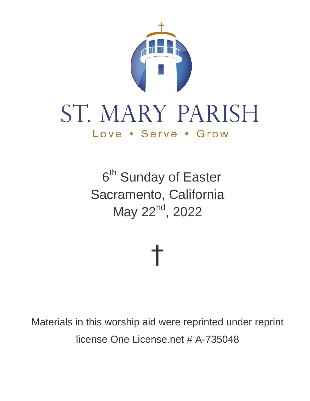

# ST. MARY PARISH Love • Serve • Grow

6<sup>th</sup> Sunday of Easter Sacramento, California May 22<sup>nd</sup>, 2022

†

Materials in this worship aid were reprinted under reprint license One License.net # A-735048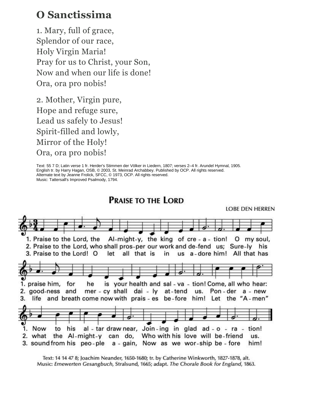#### **O Sanctissima**

1. Mary, full of grace, Splendor of our race, Holy Virgin Maria! Pray for us to Christ, your Son, Now and when our life is done! Ora, ora pro nobis!

2. Mother, Virgin pure, Hope and refuge sure, Lead us safely to Jesus! Spirit-filled and lowly, Mirror of the Holy! Ora, ora pro nobis!

Text: 55 7 D; Latin verse 1 fr. Herder's Stimmen der Völker in Liedern, 1807; verses 2–4 fr. Arundel Hymnal, 1905. English tr. by Harry Hagan, OSB, © 2003, St. Meinrad Archabbey. Published by OCP. All rights reserved. Alternate text by Jeanne Frolick, SFCC, © 1973, OCP. All rights reserved. Music: Tattersall's Improved Psalmody, 1794.

**PRAISE TO THE LORD** 



Text: 14 14 47 8; Joachim Neander, 1650-1680; tr. by Catherine Winkworth, 1827-1878, alt. Music: Ernewerten Gesangbuch, Stralsund, 1665; adapt. The Chorale Book for England, 1863.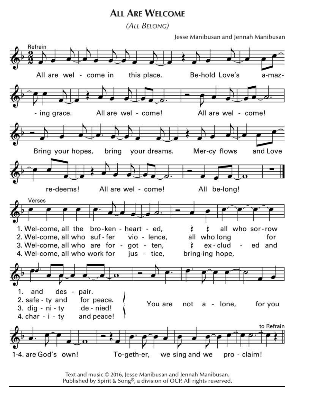#### **ALL ARE WELCOME**

(ALL BELONG)

Jesse Manibusan and Jennah Manibusan



Text and music © 2016, Jesse Manibusan and Jennah Manibusan. Published by Spirit & Song®, a division of OCP. All rights reserved.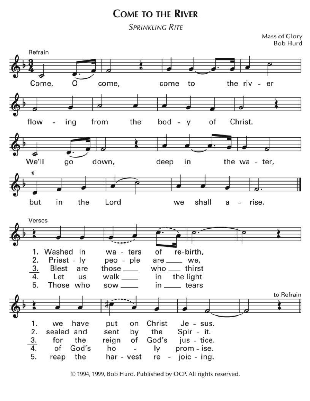#### **COME TO THE RIVER**

**SPRINKLING RITE** 

Mass of Glory

**Bob Hurd** Refrain Come, the riv come, to come er flow the from of Christ. ing  $bod - y$ We'll down, deep in the wa - ter, go ₩ but the Lord shall rise. in we a Verses 1. Washed in wa - ters of re-birth, 2. Priest - ly peo - ple are \_\_\_\_ we, 3.  $who$  thirst **Blest** those  $\_\_$ are the light 4. Let walk \_\_\_\_\_ in **us** 5. Those who  $SOW$ <sub>-------</sub> in \_\_\_\_\_ tears to Refrain 1. have put Christ  $Je - sus.$ we on 2. sealed and the Spir - it. sent by 3. for the reign jus - tice. of God's  $\overline{4}$ . of God's ho Iy prom - ise. ù. 5. reap the joic - ing. har - vest re  $\omega$ 

© 1994, 1999, Bob Hurd. Published by OCP. All rights reserved.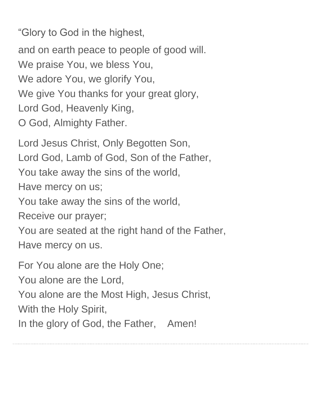"Glory to God in the highest,

and on earth peace to people of good will. We praise You, we bless You, We adore You, we glorify You, We give You thanks for your great glory, Lord God, Heavenly King, O God, Almighty Father.

Lord Jesus Christ, Only Begotten Son, Lord God, Lamb of God, Son of the Father, You take away the sins of the world, Have mercy on us; You take away the sins of the world, Receive our prayer; You are seated at the right hand of the Father, Have mercy on us.

For You alone are the Holy One;

You alone are the Lord,

You alone are the Most High, Jesus Christ,

With the Holy Spirit,

In the glory of God, the Father, Amen!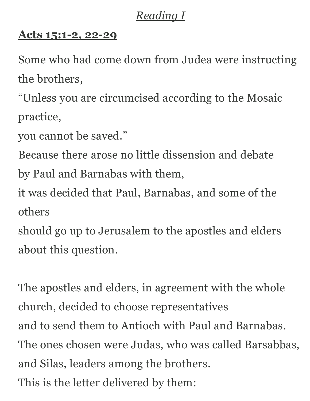# *Reading I*

#### **Acts [15:1-2,](https://bible.usccb.org/bible/acts/15?1) 22-29**

Some who had come down from Judea were instructing the brothers,

"Unless you are circumcised according to the Mosaic practice,

you cannot be saved."

Because there arose no little dissension and debate by Paul and Barnabas with them,

it was decided that Paul, Barnabas, and some of the others

should go up to Jerusalem to the apostles and elders about this question.

The apostles and elders, in agreement with the whole church, decided to choose representatives and to send them to Antioch with Paul and Barnabas. The ones chosen were Judas, who was called Barsabbas, and Silas, leaders among the brothers. This is the letter delivered by them: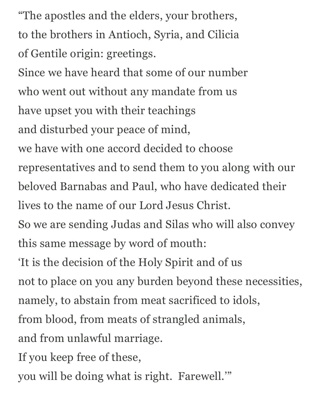"The apostles and the elders, your brothers, to the brothers in Antioch, Syria, and Cilicia of Gentile origin: greetings.

Since we have heard that some of our number who went out without any mandate from us have upset you with their teachings and disturbed your peace of mind,

we have with one accord decided to choose

representatives and to send them to you along with our beloved Barnabas and Paul, who have dedicated their

lives to the name of our Lord Jesus Christ.

So we are sending Judas and Silas who will also convey this same message by word of mouth:

'It is the decision of the Holy Spirit and of us

not to place on you any burden beyond these necessities,

namely, to abstain from meat sacrificed to idols,

from blood, from meats of strangled animals,

and from unlawful marriage.

If you keep free of these,

you will be doing what is right. Farewell.'"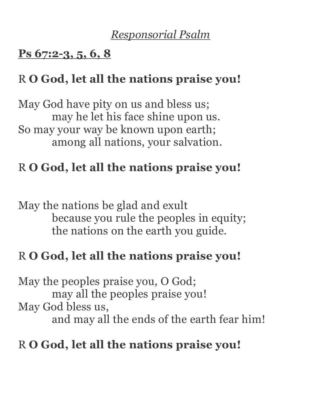## *Responsorial Psalm*

#### **Ps [67:2-3,](https://bible.usccb.org/bible/psalms/67?2) 5, 6, 8**

# R **O God, let all the nations praise you!**

May God have pity on us and bless us; may he let his face shine upon us. So may your way be known upon earth; among all nations, your salvation.

# R **O God, let all the nations praise you!**

May the nations be glad and exult because you rule the peoples in equity; the nations on the earth you guide.

#### R **O God, let all the nations praise you!**

May the peoples praise you, O God; may all the peoples praise you! May God bless us, and may all the ends of the earth fear him!

# R **O God, let all the nations praise you!**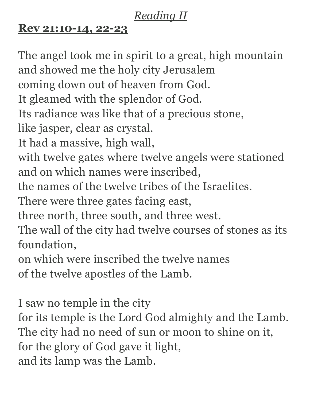# *Reading II*

### **Rev [21:10-14,](https://bible.usccb.org/bible/revelation/21?10) 22-23**

The angel took me in spirit to a great, high mountain and showed me the holy city Jerusalem coming down out of heaven from God. It gleamed with the splendor of God. Its radiance was like that of a precious stone, like jasper, clear as crystal. It had a massive, high wall, with twelve gates where twelve angels were stationed and on which names were inscribed, the names of the twelve tribes of the Israelites. There were three gates facing east, three north, three south, and three west. The wall of the city had twelve courses of stones as its foundation, on which were inscribed the twelve names of the twelve apostles of the Lamb. I saw no temple in the city for its temple is the Lord God almighty and the Lamb. The city had no need of sun or moon to shine on it,

for the glory of God gave it light,

and its lamp was the Lamb.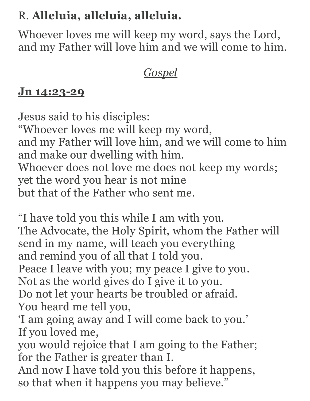# R. **Alleluia, alleluia, alleluia.**

Whoever loves me will keep my word, says the Lord, and my Father will love him and we will come to him.

# *Gospel*

### **Jn [14:23-29](https://bible.usccb.org/bible/john/14?23)**

Jesus said to his disciples: "Whoever loves me will keep my word, and my Father will love him, and we will come to him and make our dwelling with him. Whoever does not love me does not keep my words; yet the word you hear is not mine but that of the Father who sent me.

"I have told you this while I am with you. The Advocate, the Holy Spirit, whom the Father will send in my name, will teach you everything and remind you of all that I told you. Peace I leave with you; my peace I give to you. Not as the world gives do I give it to you. Do not let your hearts be troubled or afraid. You heard me tell you, 'I am going away and I will come back to you.' If you loved me, you would rejoice that I am going to the Father; for the Father is greater than I. And now I have told you this before it happens, so that when it happens you may believe."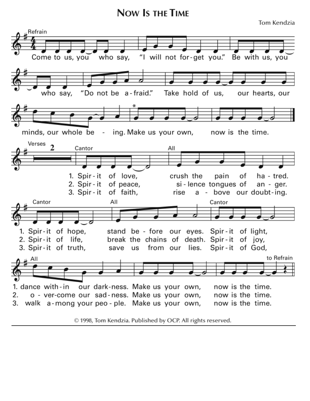**NOW IS THE TIME** 

Tom Kendzia



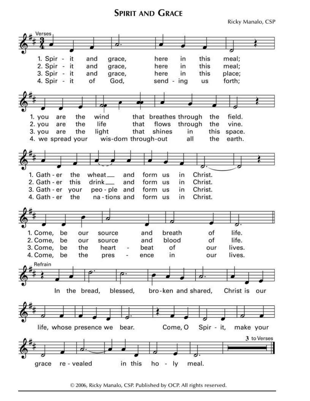#### **SPIRIT AND GRACE**

Ricky Manalo, CSP



© 2006, Ricky Manalo, CSP. Published by OCP. All rights reserved.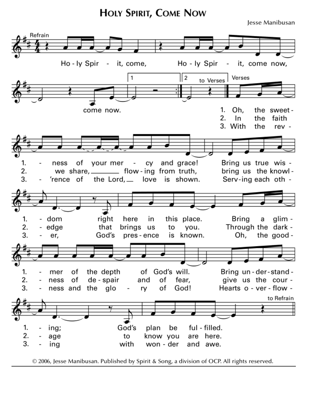**HOLY SPIRIT, COME NOW** 

Jesse Manibusan



© 2006, Jesse Manibusan. Published by Spirit & Song, a division of OCP. All rights reserved.